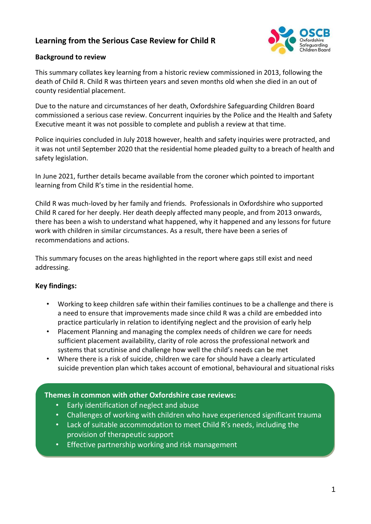# **Learning from the Serious Case Review for Child R**



#### **Background to review**

This summary collates key learning from a historic review commissioned in 2013, following the death of Child R. Child R was thirteen years and seven months old when she died in an out of county residential placement.

Due to the nature and circumstances of her death, Oxfordshire Safeguarding Children Board commissioned a serious case review. Concurrent inquiries by the Police and the Health and Safety Executive meant it was not possible to complete and publish a review at that time.

Police inquiries concluded in July 2018 however, health and safety inquiries were protracted, and it was not until September 2020 that the residential home pleaded guilty to a breach of health and safety legislation.

In June 2021, further details became available from the coroner which pointed to important learning from Child R's time in the residential home.

Child R was much-loved by her family and friends. Professionals in Oxfordshire who supported Child R cared for her deeply. Her death deeply affected many people, and from 2013 onwards, there has been a wish to understand what happened, why it happened and any lessons for future work with children in similar circumstances. As a result, there have been a series of recommendations and actions.

This summary focuses on the areas highlighted in the report where gaps still exist and need addressing.

### **Key findings:**

- Working to keep children safe within their families continues to be a challenge and there is a need to ensure that improvements made since child R was a child are embedded into practice particularly in relation to identifying neglect and the provision of early help
- Placement Planning and managing the complex needs of children we care for needs sufficient placement availability, clarity of role across the professional network and systems that scrutinise and challenge how well the child's needs can be met
- Where there is a risk of suicide, children we care for should have a clearly articulated suicide prevention plan which takes account of emotional, behavioural and situational risks

## **Themes in common with other Oxfordshire case reviews:**

- Early identification of neglect and abuse
- Challenges of working with children who have experienced significant trauma
- Lack of suitable accommodation to meet Child R's needs, including the provision of therapeutic support

 $\mathcal{P}(\mathcal{P})$  are not risks are not risks are not risks are not reducing despite interventions are not reducing despite interventions.

• Effective partnership working and risk management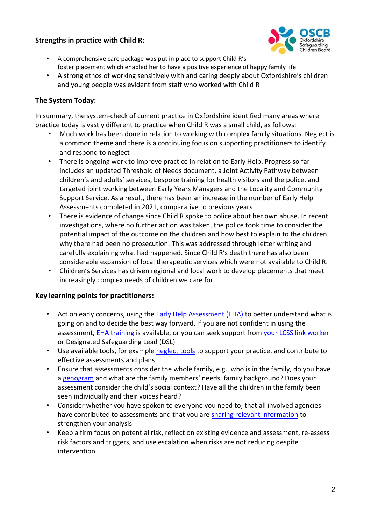## **Strengths in practice with Child R:**



- A comprehensive care package was put in place to support Child R's foster placement which enabled her to have a positive experience of happy family life
- A strong ethos of working sensitively with and caring deeply about Oxfordshire's children and young people was evident from staff who worked with Child R

## **The System Today:**

In summary, the system-check of current practice in Oxfordshire identified many areas where practice today is vastly different to practice when Child R was a small child, as follows:

- Much work has been done in relation to working with complex family situations. Neglect is a common theme and there is a continuing focus on supporting practitioners to identify and respond to neglect
- There is ongoing work to improve practice in relation to Early Help. Progress so far includes an updated Threshold of Needs document, a Joint Activity Pathway between children's and adults' services, bespoke training for health visitors and the police, and targeted joint working between Early Years Managers and the Locality and Community Support Service. As a result, there has been an increase in the number of Early Help Assessments completed in 2021, comparative to previous years
- There is evidence of change since Child R spoke to police about her own abuse. In recent investigations, where no further action was taken, the police took time to consider the potential impact of the outcome on the children and how best to explain to the children why there had been no prosecution. This was addressed through letter writing and carefully explaining what had happened. Since Child R's death there has also been considerable expansion of local therapeutic services which were not available to Child R.
- Children's Services has driven regional and local work to develop placements that meet increasingly complex needs of children we care for

### **Key learning points for practitioners:**

- Act on early concerns, using the **Early Help Assessment (EHA)** to better understand what is going on and to decide the best way forward. If you are not confident in using the assessment, EHA [training](https://training.oscb.org.uk/events-list) is available, or you can seek support from [your LCSS link worker](https://www.oscb.org.uk/practitioners-volunteers/locality-and-community-support-service-early-help/) or Designated Safeguarding Lead (DSL)
- Use available tools, for example [neglect tools](https://www.oscb.org.uk/safeguarding-themes/neglect/tools/) to support your practice, and contribute to effective assessments and plans
- Ensure that assessments consider the whole family, e.g., who is in the family, do you have a [genogram](https://www.oscb.org.uk/wp-content/uploads/2019/08/genogram-detail.pdf) and what are the family members' needs, family background? Does your assessment consider the child's social context? Have all the children in the family been seen individually and their voices heard?
- Consider whether you have spoken to everyone you need to, that all involved agencies have contributed to assessments and that you are [sharing relevant information](https://www.oscb.org.uk/wp-content/uploads/2019/07/The-Seven-Golden-Rules-for-Info-Sharing.pdf) to strengthen your analysis
- Keep a firm focus on potential risk, reflect on existing evidence and assessment, re-assess risk factors and triggers, and use escalation when risks are not reducing despite intervention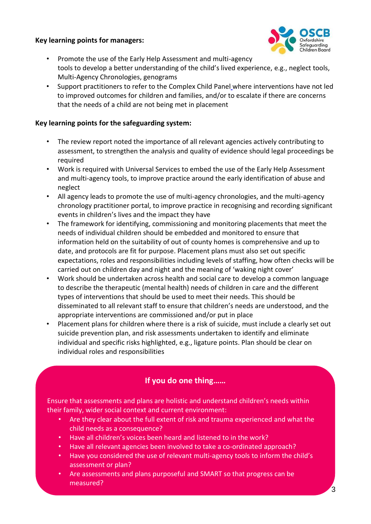#### **Key learning points for managers:**



- Promote the use of the Early Help Assessment and multi-agency tools to develop a better understanding of the child's lived experience, e.g., neglect tools, Multi-Agency Chronologies, genograms
- Support practitioners to refer to the [Complex Child Panel](https://www.oscb.org.uk/wp-content/uploads/2021/06/Complex-Child-Panel-ToR-final.docx) where interventions have not led to improved outcomes for children and families, and/or to escalate if there are concerns that the needs of a child are not being met in placement

#### **Key learning points for the safeguarding system:**

- The review report noted the importance of all relevant agencies actively contributing to assessment, to strengthen the analysis and quality of evidence should legal proceedings be required
- Work is required with Universal Services to embed the use of the Early Help Assessment and multi-agency tools, to improve practice around the early identification of abuse and neglect
- All agency leads to promote the use of multi-agency chronologies, and the multi-agency chronology practitioner portal, to improve practice in recognising and recording significant events in children's lives and the impact they have
- The framework for identifying, commissioning and monitoring placements that meet the needs of individual children should be embedded and monitored to ensure that information held on the suitability of out of county homes is comprehensive and up to date, and protocols are fit for purpose. Placement plans must also set out specific expectations, roles and responsibilities including levels of staffing, how often checks will be carried out on children day and night and the meaning of 'waking night cover'
- Work should be undertaken across health and social care to develop a common language to describe the therapeutic (mental health) needs of children in care and the different types of interventions that should be used to meet their needs. This should be disseminated to all relevant staff to ensure that children's needs are understood, and the appropriate interventions are commissioned and/or put in place
- Placement plans for children where there is a risk of suicide, must include a clearly set out suicide prevention plan, and risk assessments undertaken to identify and eliminate individual and specific risks highlighted, e.g., ligature points. Plan should be clear on individual roles and responsibilities

# **If you do one thing……**

Ensure that assessments and plans are holistic and understand children's needs within their family, wider social context and current environment:

- Are they clear about the full extent of risk and trauma experienced and what the child needs as a consequence?
- Have all children's voices been heard and listened to in the work?
- Have all relevant agencies been involved to take a co-ordinated approach?
- Have you considered the use of relevant multi-agency tools to inform the child's assessment or plan?
- Are assessments and plans purposeful and SMART so that progress can be measured?